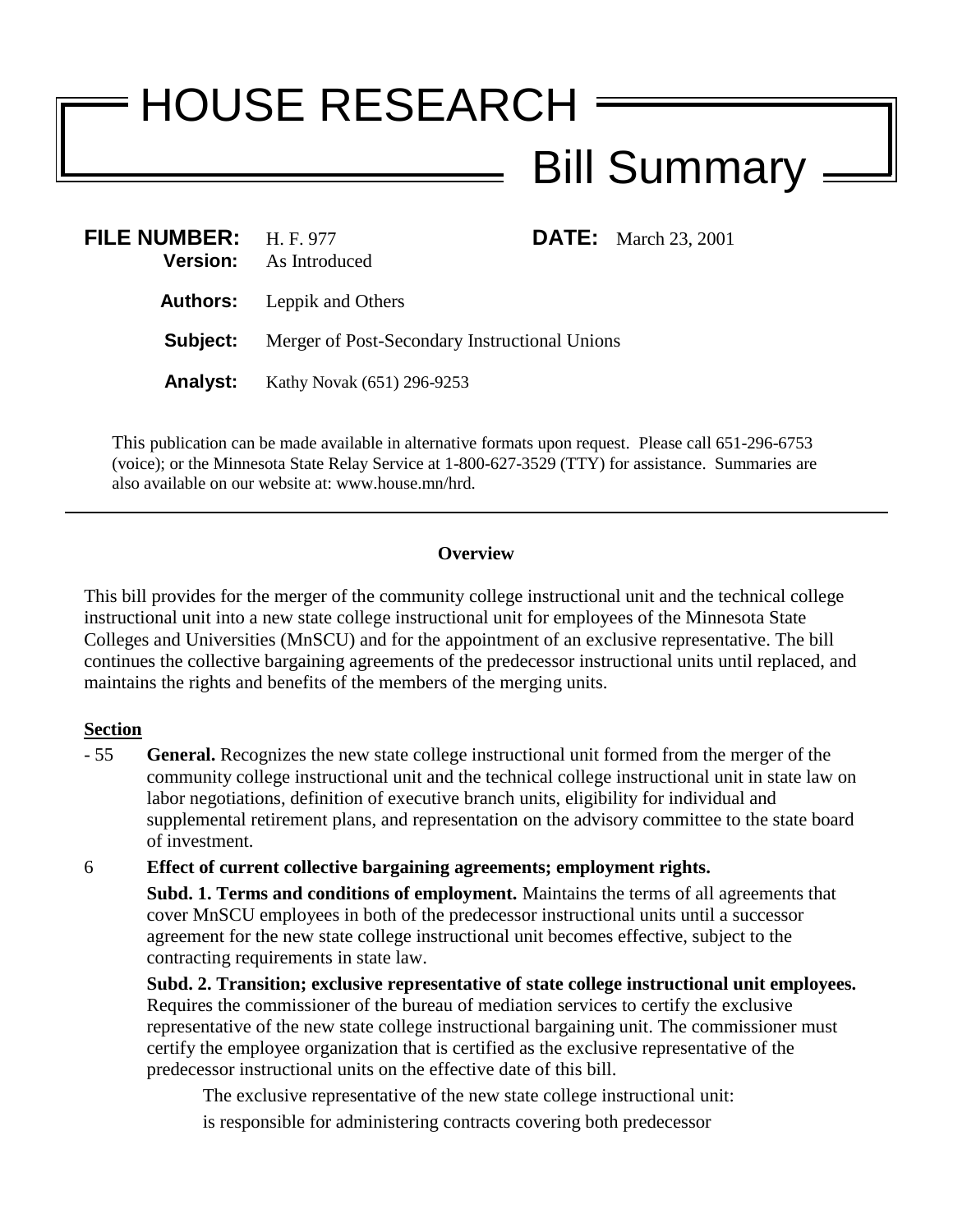## HOUSE RESEARCH Bill Summary

| FILE NUMBER: H.F. 977 | <b>Version:</b> As Introduced                 |  | <b>DATE:</b> March 23, 2001 |
|-----------------------|-----------------------------------------------|--|-----------------------------|
|                       | <b>Authors:</b> Leppik and Others             |  |                             |
| Subject:              | Merger of Post-Secondary Instructional Unions |  |                             |
| <b>Analyst:</b>       | Kathy Novak (651) 296-9253                    |  |                             |

This publication can be made available in alternative formats upon request. Please call 651-296-6753 (voice); or the Minnesota State Relay Service at 1-800-627-3529 (TTY) for assistance. Summaries are also available on our website at: www.house.mn/hrd.

## **Overview**

This bill provides for the merger of the community college instructional unit and the technical college instructional unit into a new state college instructional unit for employees of the Minnesota State Colleges and Universities (MnSCU) and for the appointment of an exclusive representative. The bill continues the collective bargaining agreements of the predecessor instructional units until replaced, and maintains the rights and benefits of the members of the merging units.

## **Section**

- 55 **General.** Recognizes the new state college instructional unit formed from the merger of the community college instructional unit and the technical college instructional unit in state law on labor negotiations, definition of executive branch units, eligibility for individual and supplemental retirement plans, and representation on the advisory committee to the state board of investment.

6 **Effect of current collective bargaining agreements; employment rights. Subd. 1. Terms and conditions of employment.** Maintains the terms of all agreements that cover MnSCU employees in both of the predecessor instructional units until a successor agreement for the new state college instructional unit becomes effective, subject to the contracting requirements in state law.

**Subd. 2. Transition; exclusive representative of state college instructional unit employees.** Requires the commissioner of the bureau of mediation services to certify the exclusive representative of the new state college instructional bargaining unit. The commissioner must certify the employee organization that is certified as the exclusive representative of the predecessor instructional units on the effective date of this bill.

The exclusive representative of the new state college instructional unit:

is responsible for administering contracts covering both predecessor